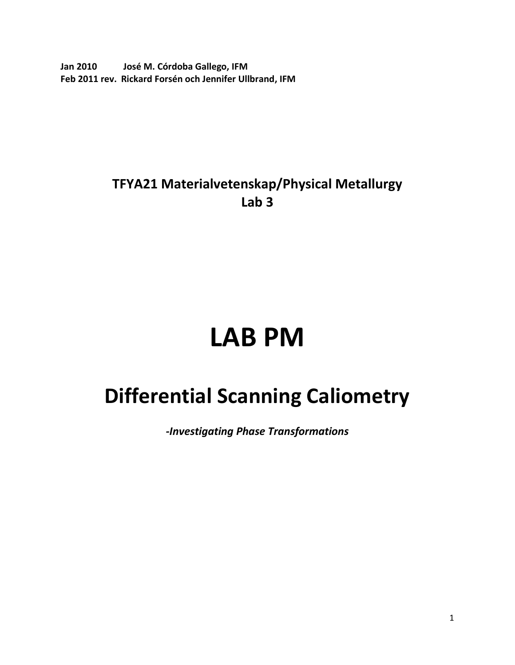**Jan 2010 José M. Córdoba Gallego, IFM Feb 2011 rev. Rickard Forsén och Jennifer Ullbrand, IFM**

## **TFYA21 Materialvetenskap/Physical Metallurgy Lab 3**

# **LAB PM**

# **Differential Scanning Caliometry**

*-Investigating Phase Transformations*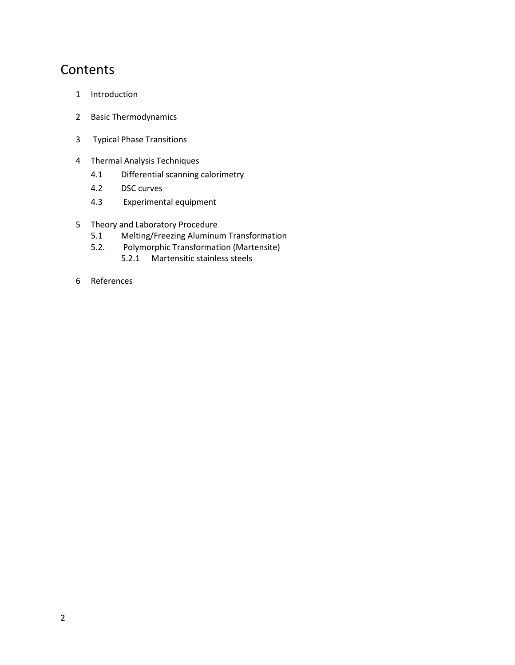### **Contents**

- 1 Introduction
- 2 Basic Thermodynamics
- 3 Typical Phase Transitions
- 4 Thermal Analysis Techniques
	- 4.1 Differential scanning calorimetry
	- 4.2 DSC curves
	- 4.3 Experimental equipment
- 5 Theory and Laboratory Procedure
	- 5.1 Melting/Freezing Aluminum Transformation
	- 5.2. Polymorphic Transformation (Martensite) 5.2.1 Martensitic stainless steels
- 6 References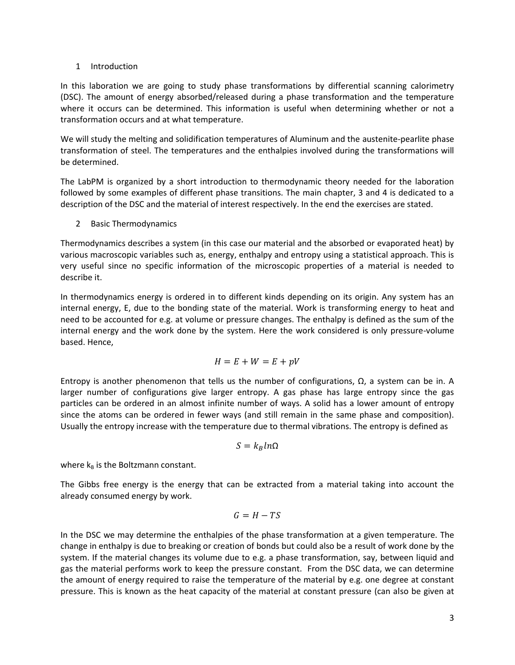#### 1 Introduction

In this laboration we are going to study phase transformations by differential scanning calorimetry (DSC). The amount of energy absorbed/released during a phase transformation and the temperature where it occurs can be determined. This information is useful when determining whether or not a transformation occurs and at what temperature.

We will study the melting and solidification temperatures of Aluminum and the austenite-pearlite phase transformation of steel. The temperatures and the enthalpies involved during the transformations will be determined.

The LabPM is organized by a short introduction to thermodynamic theory needed for the laboration followed by some examples of different phase transitions. The main chapter, 3 and 4 is dedicated to a description of the DSC and the material of interest respectively. In the end the exercises are stated.

2 Basic Thermodynamics

Thermodynamics describes a system (in this case our material and the absorbed or evaporated heat) by various macroscopic variables such as, energy, enthalpy and entropy using a statistical approach. This is very useful since no specific information of the microscopic properties of a material is needed to describe it.

In thermodynamics energy is ordered in to different kinds depending on its origin. Any system has an internal energy, E, due to the bonding state of the material. Work is transforming energy to heat and need to be accounted for e.g. at volume or pressure changes. The enthalpy is defined as the sum of the internal energy and the work done by the system. Here the work considered is only pressure-volume based. Hence,

$$
H = E + W = E + pV
$$

Entropy is another phenomenon that tells us the number of configurations,  $Ω$ , a system can be in. A larger number of configurations give larger entropy. A gas phase has large entropy since the gas particles can be ordered in an almost infinite number of ways. A solid has a lower amount of entropy since the atoms can be ordered in fewer ways (and still remain in the same phase and composition). Usually the entropy increase with the temperature due to thermal vibrations. The entropy is defined as

$$
S = k_B \ln \Omega
$$

where  $k_B$  is the Boltzmann constant.

The Gibbs free energy is the energy that can be extracted from a material taking into account the already consumed energy by work.

$$
G = H - TS
$$

In the DSC we may determine the enthalpies of the phase transformation at a given temperature. The change in enthalpy is due to breaking or creation of bonds but could also be a result of work done by the system. If the material changes its volume due to e.g. a phase transformation, say, between liquid and gas the material performs work to keep the pressure constant. From the DSC data, we can determine the amount of energy required to raise the temperature of the material by e.g. one degree at constant pressure. This is known as the heat capacity of the material at constant pressure (can also be given at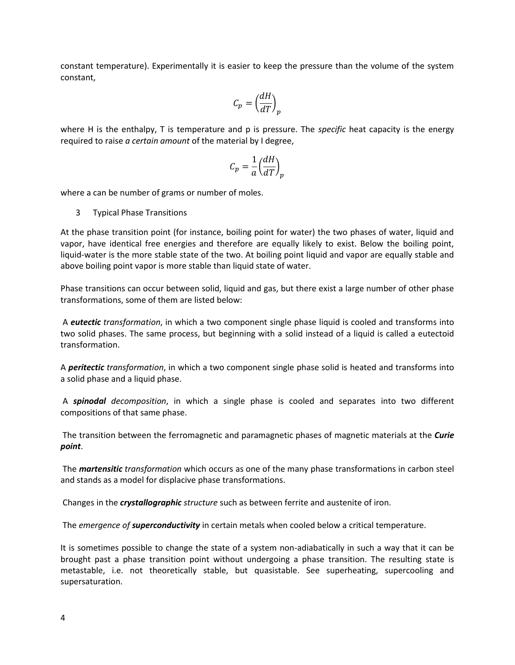constant temperature). Experimentally it is easier to keep the pressure than the volume of the system constant,

$$
C_p = \left(\frac{dH}{dT}\right)_p
$$

where H is the enthalpy, T is temperature and p is pressure. The *specific* heat capacity is the energy required to raise *a certain amount* of the material by I degree,

$$
C_p = \frac{1}{a} \left(\frac{dH}{dT}\right)_p
$$

where a can be number of grams or number of moles.

3 Typical Phase Transitions

At the phase transition point (for instance, boiling point for water) the two phases of water, liquid and vapor, have identical free energies and therefore are equally likely to exist. Below the boiling point, liquid-water is the more stable state of the two. At boiling point liquid and vapor are equally stable and above boiling point vapor is more stable than liquid state of water.

Phase transitions can occur between solid, liquid and gas, but there exist a large number of other phase transformations, some of them are listed below:

A *eutectic transformation*, in which a two component single phase liquid is cooled and transforms into two solid phases. The same process, but beginning with a solid instead of a liquid is called a eutectoid transformation.

A *peritectic transformation*, in which a two component single phase solid is heated and transforms into a solid phase and a liquid phase.

A *spinodal decomposition*, in which a single phase is cooled and separates into two different compositions of that same phase.

The transition between the ferromagnetic and paramagnetic phases of magnetic materials at the *Curie point*.

The *martensitic transformation* which occurs as one of the many phase transformations in carbon steel and stands as a model for displacive phase transformations.

Changes in the *crystallographic structure* such as between ferrite and austenite of iron.

The *emergence of superconductivity* in certain metals when cooled below a critical temperature.

It is sometimes possible to change the state of a system non-adiabatically in such a way that it can be brought past a phase transition point without undergoing a phase transition. The resulting state is metastable, i.e. not theoretically stable, but quasistable. See superheating, supercooling and supersaturation.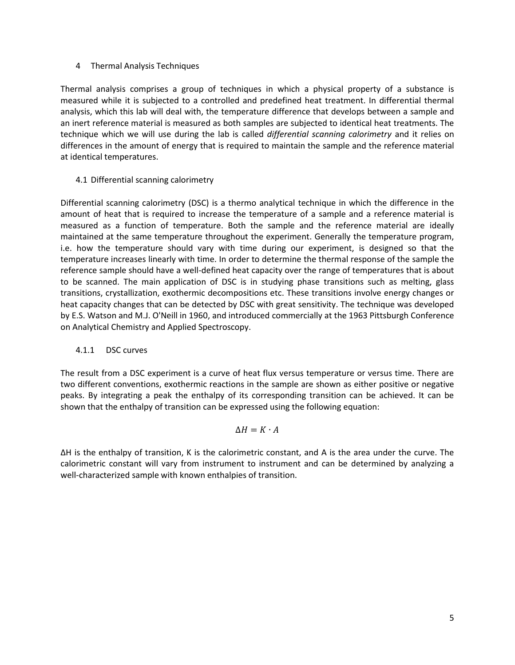#### 4 Thermal Analysis Techniques

Thermal analysis comprises a group of techniques in which a physical property of a substance is measured while it is subjected to a controlled and predefined heat treatment. In differential thermal analysis, which this lab will deal with, the temperature difference that develops between a sample and an inert reference material is measured as both samples are subjected to identical heat treatments. The technique which we will use during the lab is called *differential scanning calorimetry* and it relies on differences in the amount of energy that is required to maintain the sample and the reference material at identical temperatures.

#### 4.1 Differential scanning calorimetry

Differential scanning calorimetry (DSC) is a thermo analytical technique in which the difference in the amount of heat that is required to increase the temperature of a sample and a reference material is measured as a function of temperature. Both the sample and the reference material are ideally maintained at the same temperature throughout the experiment. Generally the temperature program, i.e. how the temperature should vary with time during our experiment, is designed so that the temperature increases linearly with time. In order to determine the thermal response of the sample the reference sample should have a well-defined heat capacity over the range of temperatures that is about to be scanned. The main application of DSC is in studying phase transitions such as melting, glass transitions, crystallization, exothermic decompositions etc. These transitions involve energy changes or heat capacity changes that can be detected by DSC with great sensitivity. The technique was developed by E.S. Watson and M.J. O'Neill in 1960, and introduced commercially at the 1963 Pittsburgh Conference on Analytical Chemistry and Applied Spectroscopy.

#### 4.1.1 DSC curves

The result from a DSC experiment is a curve of heat flux versus temperature or versus time. There are two different conventions, exothermic reactions in the sample are shown as either positive or negative peaks. By integrating a peak the enthalpy of its corresponding transition can be achieved. It can be shown that the enthalpy of transition can be expressed using the following equation:

#### $\Delta H = K \cdot A$

∆H is the enthalpy of transition, K is the calorimetric constant, and A is the area under the curve. The calorimetric constant will vary from instrument to instrument and can be determined by analyzing a well-characterized sample with known enthalpies of transition.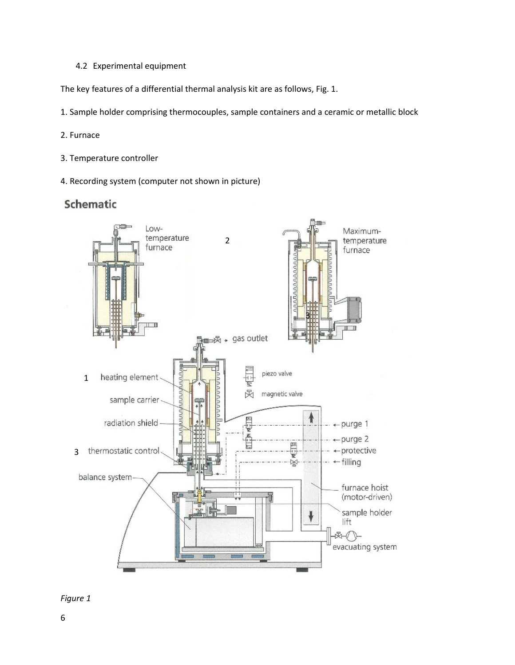4.2 Experimental equipment

The key features of a differential thermal analysis kit are as follows, Fig. 1.

1. Sample holder comprising thermocouples, sample containers and a ceramic or metallic block

- 2. Furnace
- 3. Temperature controller
- 4. Recording system (computer not shown in picture)

#### Schematic



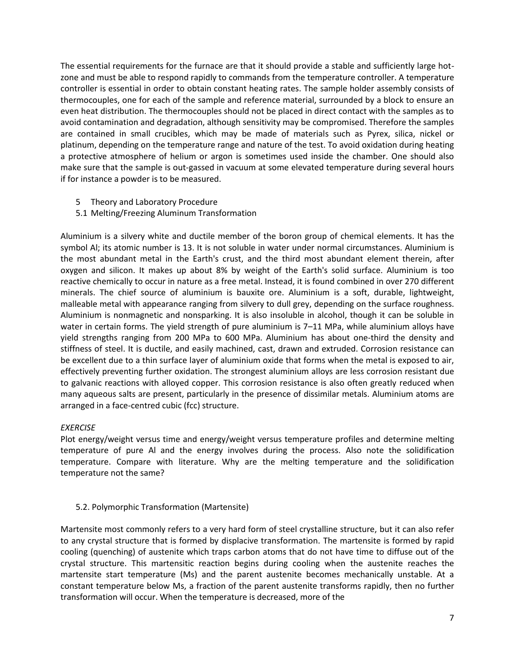The essential requirements for the furnace are that it should provide a stable and sufficiently large hotzone and must be able to respond rapidly to commands from the temperature controller. A temperature controller is essential in order to obtain constant heating rates. The sample holder assembly consists of thermocouples, one for each of the sample and reference material, surrounded by a block to ensure an even heat distribution. The thermocouples should not be placed in direct contact with the samples as to avoid contamination and degradation, although sensitivity may be compromised. Therefore the samples are contained in small crucibles, which may be made of materials such as Pyrex, silica, nickel or platinum, depending on the temperature range and nature of the test. To avoid oxidation during heating a protective atmosphere of helium or argon is sometimes used inside the chamber. One should also make sure that the sample is out-gassed in vacuum at some elevated temperature during several hours if for instance a powder is to be measured.

- 5 Theory and Laboratory Procedure
- 5.1 Melting/Freezing Aluminum Transformation

Aluminium is a silvery white and ductile member of the boron group of chemical elements. It has the symbol Al; its atomic number is 13. It is not soluble in water under normal circumstances. Aluminium is the most abundant metal in the Earth's crust, and the third most abundant element therein, after oxygen and silicon. It makes up about 8% by weight of the Earth's solid surface. Aluminium is too reactive chemically to occur in nature as a free metal. Instead, it is found combined in over 270 different minerals. The chief source of aluminium is bauxite ore. Aluminium is a soft, durable, lightweight, malleable metal with appearance ranging from silvery to dull grey, depending on the surface roughness. Aluminium is nonmagnetic and nonsparking. It is also insoluble in alcohol, though it can be soluble in water in certain forms. The yield strength of pure aluminium is 7–11 MPa, while aluminium alloys have yield strengths ranging from 200 MPa to 600 MPa. Aluminium has about one-third the density and stiffness of steel. It is ductile, and easily machined, cast, drawn and extruded. Corrosion resistance can be excellent due to a thin surface layer of aluminium oxide that forms when the metal is exposed to air, effectively preventing further oxidation. The strongest aluminium alloys are less corrosion resistant due to galvanic reactions with alloyed copper. This corrosion resistance is also often greatly reduced when many aqueous salts are present, particularly in the presence of dissimilar metals. Aluminium atoms are arranged in a face-centred cubic (fcc) structure.

#### *EXERCISE*

Plot energy/weight versus time and energy/weight versus temperature profiles and determine melting temperature of pure Al and the energy involves during the process. Also note the solidification temperature. Compare with literature. Why are the melting temperature and the solidification temperature not the same?

#### 5.2. Polymorphic Transformation (Martensite)

Martensite most commonly refers to a very hard form of steel crystalline structure, but it can also refer to any crystal structure that is formed by displacive transformation. The martensite is formed by rapid cooling (quenching) of austenite which traps carbon atoms that do not have time to diffuse out of the crystal structure. This martensitic reaction begins during cooling when the austenite reaches the martensite start temperature (Ms) and the parent austenite becomes mechanically unstable. At a constant temperature below Ms, a fraction of the parent austenite transforms rapidly, then no further transformation will occur. When the temperature is decreased, more of the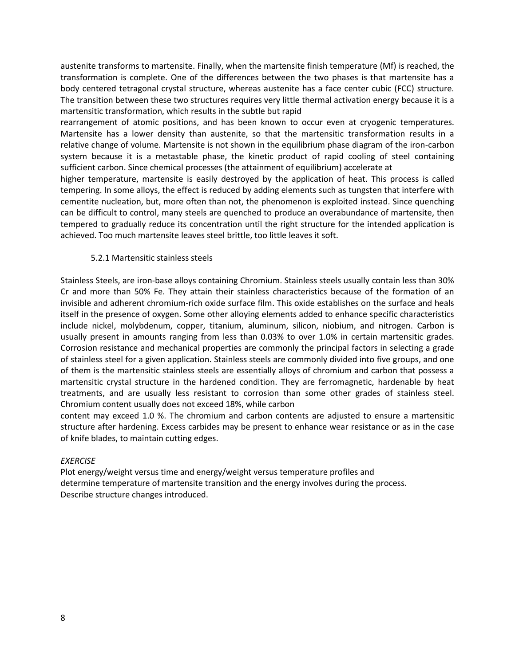austenite transforms to martensite. Finally, when the martensite finish temperature (Mf) is reached, the transformation is complete. One of the differences between the two phases is that martensite has a body centered tetragonal crystal structure, whereas austenite has a face center cubic (FCC) structure. The transition between these two structures requires very little thermal activation energy because it is a martensitic transformation, which results in the subtle but rapid

rearrangement of atomic positions, and has been known to occur even at cryogenic temperatures. Martensite has a lower density than austenite, so that the martensitic transformation results in a relative change of volume. Martensite is not shown in the equilibrium phase diagram of the iron-carbon system because it is a metastable phase, the kinetic product of rapid cooling of steel containing sufficient carbon. Since chemical processes (the attainment of equilibrium) accelerate at

higher temperature, martensite is easily destroyed by the application of heat. This process is called tempering. In some alloys, the effect is reduced by adding elements such as tungsten that interfere with cementite nucleation, but, more often than not, the phenomenon is exploited instead. Since quenching can be difficult to control, many steels are quenched to produce an overabundance of martensite, then tempered to gradually reduce its concentration until the right structure for the intended application is achieved. Too much martensite leaves steel brittle, too little leaves it soft.

#### 5.2.1 Martensitic stainless steels

Stainless Steels, are iron-base alloys containing Chromium. Stainless steels usually contain less than 30% Cr and more than 50% Fe. They attain their stainless characteristics because of the formation of an invisible and adherent chromium-rich oxide surface film. This oxide establishes on the surface and heals itself in the presence of oxygen. Some other alloying elements added to enhance specific characteristics include nickel, molybdenum, copper, titanium, aluminum, silicon, niobium, and nitrogen. Carbon is usually present in amounts ranging from less than 0.03% to over 1.0% in certain martensitic grades. Corrosion resistance and mechanical properties are commonly the principal factors in selecting a grade of stainless steel for a given application. Stainless steels are commonly divided into five groups, and one of them is the martensitic stainless steels are essentially alloys of chromium and carbon that possess a martensitic crystal structure in the hardened condition. They are ferromagnetic, hardenable by heat treatments, and are usually less resistant to corrosion than some other grades of stainless steel. Chromium content usually does not exceed 18%, while carbon

content may exceed 1.0 %. The chromium and carbon contents are adjusted to ensure a martensitic structure after hardening. Excess carbides may be present to enhance wear resistance or as in the case of knife blades, to maintain cutting edges.

#### *EXERCISE*

Plot energy/weight versus time and energy/weight versus temperature profiles and determine temperature of martensite transition and the energy involves during the process. Describe structure changes introduced.